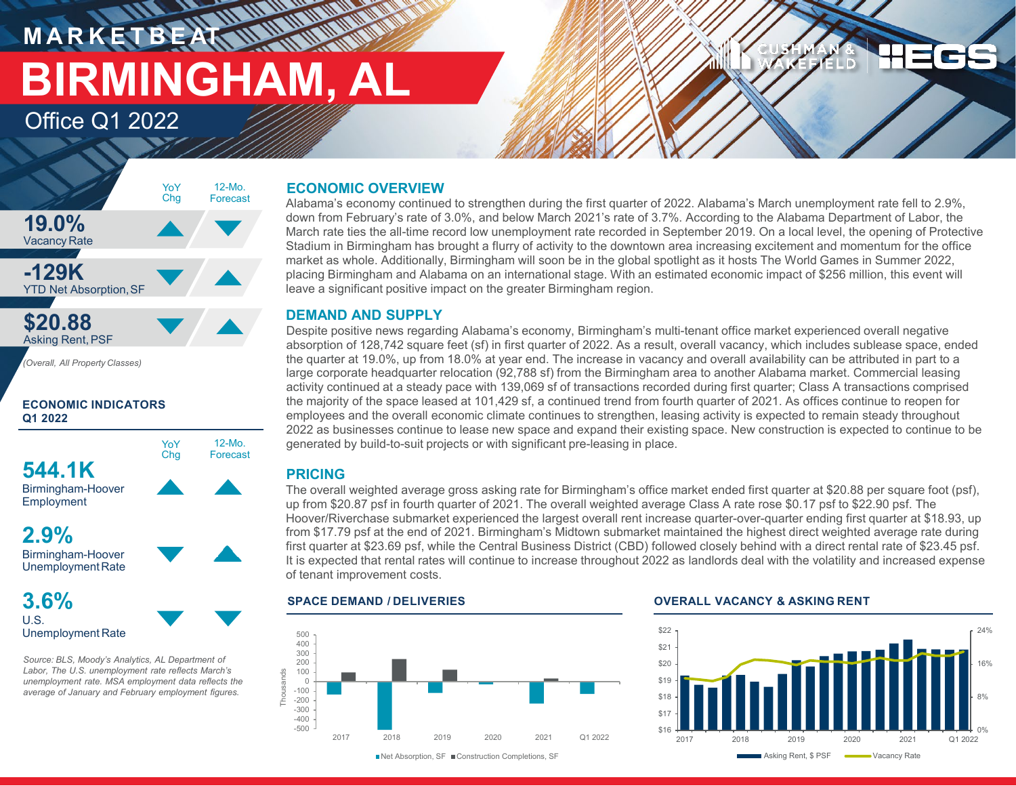# **M A R K E T B E AT BIRMINGHAM, AL**

12-Mo. Forecast

YoY Chg

Office Q1 2022



**ECONOMIC INDICATORS Q1 2022**



Birmingham-Hoover **Employment** 

**2.9%** Birmingham-Hoover

UnemploymentRate **3.6%**

U.S. Unemployment Rate

*Source: BLS, Moody's Analytics, AL Department of Labor, The U.S. unemployment rate reflects March's unemployment rate. MSA employment data reflects the average of January and February employment figures.* 

# **ECONOMIC OVERVIEW**

Alabama's economy continued to strengthen during the first quarter of 2022. Alabama's March unemployment rate fell to 2.9%, down from February's rate of 3.0%, and below March 2021's rate of 3.7%. According to the Alabama Department of Labor, the March rate ties the all-time record low unemployment rate recorded in September 2019. On a local level, the opening of Protective Stadium in Birmingham has brought a flurry of activity to the downtown area increasing excitement and momentum for the office market as whole. Additionally, Birmingham will soon be in the global spotlight as it hosts The World Games in Summer 2022, placing Birmingham and Alabama on an international stage. With an estimated economic impact of \$256 million, this event will leave a significant positive impact on the greater Birmingham region.

# **DEMAND AND SUPPLY**

Despite positive news regarding Alabama's economy, Birmingham's multi-tenant office market experienced overall negative absorption of 128,742 square feet (sf) in first quarter of 2022. As a result, overall vacancy, which includes sublease space, ended the quarter at 19.0%, up from 18.0% at year end. The increase in vacancy and overall availability can be attributed in part to a large corporate headquarter relocation (92,788 sf) from the Birmingham area to another Alabama market. Commercial leasing activity continued at a steady pace with 139,069 sf of transactions recorded during first quarter; Class A transactions comprised the majority of the space leased at 101,429 sf, a continued trend from fourth quarter of 2021. As offices continue to reopen for employees and the overall economic climate continues to strengthen, leasing activity is expected to remain steady throughout 2022 as businesses continue to lease new space and expand their existing space. New construction is expected to continue to be generated by build-to-suit projects or with significant pre-leasing in place.

# **PRICING**

The overall weighted average gross asking rate for Birmingham's office market ended first quarter at \$20.88 per square foot (psf), up from \$20.87 psf in fourth quarter of 2021. The overall weighted average Class A rate rose \$0.17 psf to \$22.90 psf. The Hoover/Riverchase submarket experienced the largest overall rent increase quarter-over-quarter ending first quarter at \$18.93, up from \$17.79 psf at the end of 2021. Birmingham's Midtown submarket maintained the highest direct weighted average rate during first quarter at \$23.69 psf, while the Central Business District (CBD) followed closely behind with a direct rental rate of \$23.45 psf. It is expected that rental rates will continue to increase throughout 2022 as landlords deal with the volatility and increased expense of tenant improvement costs.



#### **SPACE DEMAND / DELIVERIES OVERALL VACANCY & ASKING RENT**



**BAELD** 

■Net Absorption, SF ■ Construction Completions, SF